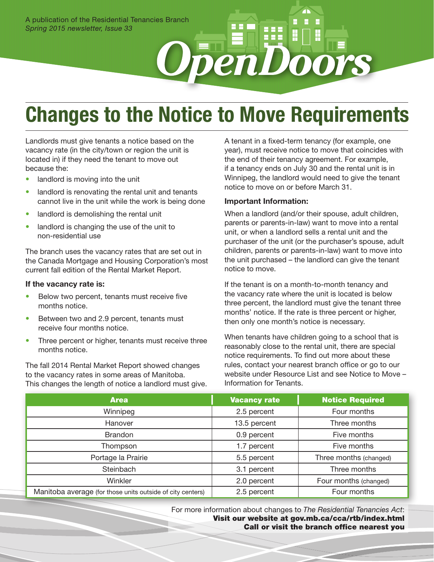# **Changes to the Notice to Move Requirements**

**OpenD** 

Landlords must give tenants a notice based on the vacancy rate (in the city/town or region the unit is located in) if they need the tenant to move out because the:

- landlord is moving into the unit
- landlord is renovating the rental unit and tenants cannot live in the unit while the work is being done
- landlord is demolishing the rental unit
- landlord is changing the use of the unit to non-residential use

The branch uses the vacancy rates that are set out in the Canada Mortgage and Housing Corporation's most current fall edition of the Rental Market Report.

#### **If the vacancy rate is:**

- Below two percent, tenants must receive five months notice.
- Between two and 2.9 percent, tenants must receive four months notice.
- Three percent or higher, tenants must receive three months notice.

The fall 2014 Rental Market Report showed changes to the vacancy rates in some areas of Manitoba. This changes the length of notice a landlord must give. A tenant in a fixed-term tenancy (for example, one year), must receive notice to move that coincides with the end of their tenancy agreement. For example, if a tenancy ends on July 30 and the rental unit is in Winnipeg, the landlord would need to give the tenant notice to move on or before March 31.

#### **Important Information:**

When a landlord (and/or their spouse, adult children, parents or parents-in-law) want to move into a rental unit, or when a landlord sells a rental unit and the purchaser of the unit (or the purchaser's spouse, adult children, parents or parents-in-law) want to move into the unit purchased – the landlord can give the tenant notice to move.

If the tenant is on a month-to-month tenancy and the vacancy rate where the unit is located is below three percent, the landlord must give the tenant three months' notice. If the rate is three percent or higher, then only one month's notice is necessary.

When tenants have children going to a school that is reasonably close to the rental unit, there are special notice requirements. To find out more about these rules, contact your nearest branch office or go to our website under Resource List and see Notice to Move – Information for Tenants.

| <b>Area</b>                                                | <b>Vacancy rate</b> | <b>Notice Required</b> |
|------------------------------------------------------------|---------------------|------------------------|
| Winnipeg                                                   | 2.5 percent         | Four months            |
| Hanover                                                    | 13.5 percent        | Three months           |
| <b>Brandon</b>                                             | 0.9 percent         | Five months            |
| Thompson                                                   | 1.7 percent         | Five months            |
| Portage la Prairie                                         | 5.5 percent         | Three months (changed) |
| Steinbach                                                  | 3.1 percent         | Three months           |
| Winkler                                                    | 2.0 percent         | Four months (changed)  |
| Manitoba average (for those units outside of city centers) | 2.5 percent         | Four months            |

For more information about changes to *The Residential Tenancies Act*: Visit our website at gov.mb.ca/cca/rtb/index.html Call or visit the branch office nearest you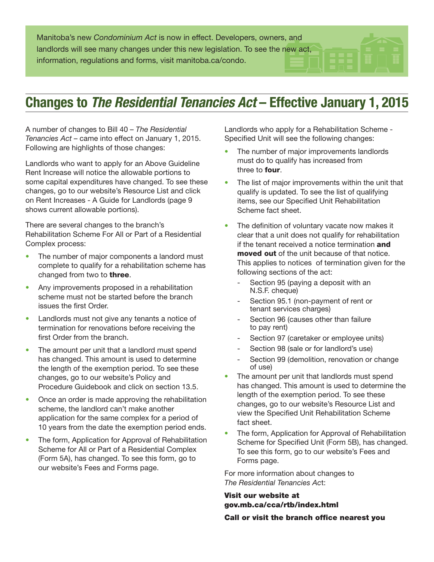Manitoba's new *Condominium Act* is now in effect. Developers, owners, and landlords will see many changes under this new legislation. To see the new act, information, regulations and forms, visit manitoba.ca/condo.

### **Changes to The Residential Tenancies Act - Effective January 1, 2015**

A number of changes to Bill 40 – *The Residential Tenancies Act* – came into effect on January 1, 2015. Following are highlights of those changes:

Landlords who want to apply for an Above Guideline Rent Increase will notice the allowable portions to some capital expenditures have changed. To see these changes, go to our website's Resource List and click on Rent Increases - A Guide for Landlords (page 9 shows current allowable portions).

There are several changes to the branch's Rehabilitation Scheme For All or Part of a Residential Complex process:

- The number of major components a landord must complete to qualify for a rehabilitation scheme has changed from two to **three**.
- Any improvements proposed in a rehabilitation scheme must not be started before the branch issues the first Order.
- Landlords must not give any tenants a notice of termination for renovations before receiving the first Order from the branch.
- The amount per unit that a landlord must spend has changed. This amount is used to determine the length of the exemption period. To see these changes, go to our website's Policy and Procedure Guidebook and click on section 13.5.
- Once an order is made approving the rehabilitation scheme, the landlord can't make another application for the same complex for a period of 10 years from the date the exemption period ends.
- The form, Application for Approval of Rehabilitation Scheme for All or Part of a Residential Complex (Form 5A), has changed. To see this form, go to our website's Fees and Forms page.

Landlords who apply for a Rehabilitation Scheme - Specified Unit will see the following changes:

- The number of major improvements landlords must do to qualify has increased from three to **four**.
- The list of major improvements within the unit that qualify is updated. To see the list of qualifying items, see our Specified Unit Rehabilitation Scheme fact sheet.
- The definition of voluntary vacate now makes it clear that a unit does not qualify for rehabilitation if the tenant received a notice termination and moved out of the unit because of that notice. This applies to notices of termination given for the following sections of the act:
	- Section 95 (paying a deposit with an N.S.F. cheque)
	- Section 95.1 (non-payment of rent or tenant services charges)
	- Section 96 (causes other than failure to pay rent)
	- Section 97 (caretaker or employee units)
	- Section 98 (sale or for landlord's use)
	- Section 99 (demolition, renovation or change of use)
- The amount per unit that landlords must spend has changed. This amount is used to determine the length of the exemption period. To see these changes, go to our website's Resource List and view the Specified Unit Rehabilitation Scheme fact sheet.
- The form, Application for Approval of Rehabilitation Scheme for Specified Unit (Form 5B), has changed. To see this form, go to our website's Fees and Forms page.

For more information about changes to *The Residential Tenancies Ac*t:

### Visit our website at gov.mb.ca/cca/rtb/index.html

Call or visit the branch office nearest you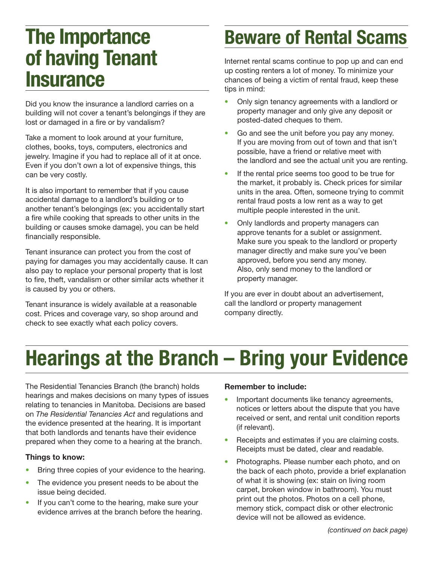## **The Importance of having Tenant Insurance**

Did you know the insurance a landlord carries on a building will not cover a tenant's belongings if they are lost or damaged in a fire or by vandalism?

Take a moment to look around at your furniture, clothes, books, toys, computers, electronics and jewelry. Imagine if you had to replace all of it at once. Even if you don't own a lot of expensive things, this can be very costly.

It is also important to remember that if you cause accidental damage to a landlord's building or to another tenant's belongings (ex: you accidentally start a fire while cooking that spreads to other units in the building or causes smoke damage), you can be held financially responsible.

Tenant insurance can protect you from the cost of paying for damages you may accidentally cause. It can also pay to replace your personal property that is lost to fire, theft, vandalism or other similar acts whether it is caused by you or others.

Tenant insurance is widely available at a reasonable cost. Prices and coverage vary, so shop around and check to see exactly what each policy covers.

## **Beware of Rental Scams**

Internet rental scams continue to pop up and can end up costing renters a lot of money. To minimize your chances of being a victim of rental fraud, keep these tips in mind:

- Only sign tenancy agreements with a landlord or property manager and only give any deposit or posted-dated cheques to them.
- Go and see the unit before you pay any money. If you are moving from out of town and that isn't possible, have a friend or relative meet with the landlord and see the actual unit you are renting.
- If the rental price seems too good to be true for the market, it probably is. Check prices for similar units in the area. Often, someone trying to commit rental fraud posts a low rent as a way to get multiple people interested in the unit.
- Only landlords and property managers can approve tenants for a sublet or assignment. Make sure you speak to the landlord or property manager directly and make sure you've been approved, before you send any money. Also, only send money to the landlord or property manager.

If you are ever in doubt about an advertisement, call the landlord or property management company directly.

# **Hearings at the Branch – Bring your Evidence**

The Residential Tenancies Branch (the branch) holds hearings and makes decisions on many types of issues relating to tenancies in Manitoba. Decisions are based on *The Residential Tenancies Act* and regulations and the evidence presented at the hearing. It is important that both landlords and tenants have their evidence prepared when they come to a hearing at the branch.

### **Things to know:**

- Bring three copies of your evidence to the hearing.
- The evidence you present needs to be about the issue being decided.
- If you can't come to the hearing, make sure your evidence arrives at the branch before the hearing.

### **Remember to include:**

- Important documents like tenancy agreements, notices or letters about the dispute that you have received or sent, and rental unit condition reports (if relevant).
- Receipts and estimates if you are claiming costs. Receipts must be dated, clear and readable.
- Photographs. Please number each photo, and on the back of each photo, provide a brief explanation of what it is showing (ex: stain on living room carpet, broken window in bathroom). You must print out the photos. Photos on a cell phone, memory stick, compact disk or other electronic device will not be allowed as evidence.